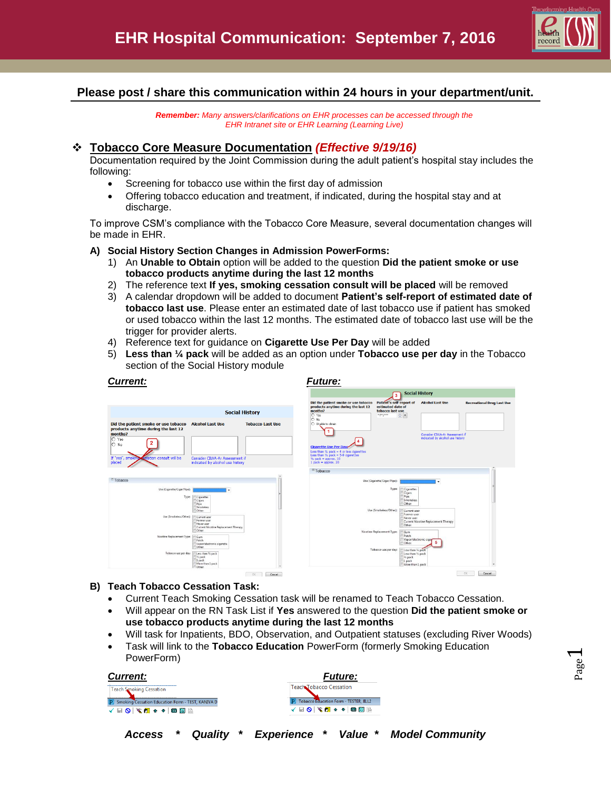

# **Please post / share this communication within 24 hours in your department/unit.**

*Remember: Many answers/clarifications on EHR processes can be accessed through the EHR Intranet site or EHR Learning (Learning Live)*

# **Tobacco Core Measure Documentation** *(Effective 9/19/16)*

Documentation required by the Joint Commission during the adult patient's hospital stay includes the following:

- Screening for tobacco use within the first day of admission
- Offering tobacco education and treatment, if indicated, during the hospital stay and at discharge.

To improve CSM's compliance with the Tobacco Core Measure, several documentation changes will be made in EHR.

## **A) Social History Section Changes in Admission PowerForms:**

- 1) An **Unable to Obtain** option will be added to the question **Did the patient smoke or use tobacco products anytime during the last 12 months**
- 2) The reference text **If yes, smoking cessation consult will be placed** will be removed
- 3) A calendar dropdown will be added to document **Patient's self-report of estimated date of tobacco last use**. Please enter an estimated date of last tobacco use if patient has smoked or used tobacco within the last 12 months. The estimated date of tobacco last use will be the trigger for provider alerts.
- 4) Reference text for guidance on **Cigarette Use Per Day** will be added
- 5) **Less than ¼ pack** will be added as an option under **Tobacco use per day** in the Tobacco section of the Social History module

|                                                                                                                                                                  |                                                                                                                                                                                                                                                                                 |                         |                                                                                                                                                                                | <b>Social History</b><br>3                                                                                                                                                                                                                                                                                                                                                          |                                                                    |                                   |
|------------------------------------------------------------------------------------------------------------------------------------------------------------------|---------------------------------------------------------------------------------------------------------------------------------------------------------------------------------------------------------------------------------------------------------------------------------|-------------------------|--------------------------------------------------------------------------------------------------------------------------------------------------------------------------------|-------------------------------------------------------------------------------------------------------------------------------------------------------------------------------------------------------------------------------------------------------------------------------------------------------------------------------------------------------------------------------------|--------------------------------------------------------------------|-----------------------------------|
|                                                                                                                                                                  | <b>Social History</b>                                                                                                                                                                                                                                                           |                         | Did the patient smoke or use tobacco<br>products anytime during the last 12<br>months?<br>O Yes<br>O No                                                                        | Patient's self-report of<br>estimated date of<br>tobacco last use<br>$m$ par proor.<br>$\div$ $\blacksquare$                                                                                                                                                                                                                                                                        | <b>Alcohol Last Use</b>                                            | <b>Recreational Drug Last Use</b> |
| Did the patient smoke or use tobacco<br>products anytime during the last 12<br>months?<br>$O$ Yes<br>$\circ$ No<br>If "yes", smoking<br>essation consult will be | <b>Alcohol Last Use</b><br>Consider CIWA-Ar Assessment if                                                                                                                                                                                                                       | <b>Tobacco Last Use</b> | C Unable to obtain<br><b>Cigarette Use Per Dava</b><br>Less than $\frac{1}{4}$ pack = 4 or less cigarettes<br>Less than $V_2$ pack = 5-9 cigarettes<br>$V_2$ pack = approx. 10 |                                                                                                                                                                                                                                                                                                                                                                                     | Consider CIWA-Ar Assessment if<br>indicated by alcohol use history |                                   |
| placed<br>Tobacco                                                                                                                                                | indicated by alcohol use history                                                                                                                                                                                                                                                |                         | $1$ pack = approx. 20<br>$=$ Tobacco                                                                                                                                           |                                                                                                                                                                                                                                                                                                                                                                                     |                                                                    |                                   |
| Use (Cigarette/Cigar/Pipe):<br>Type<br>Use (Smokeless/Other):<br>Nicotine Replacement Type:<br>Tobacco use per day:                                              | Cigarettes<br>Cigars<br>Pipe<br>Smokeless<br>Other:<br>Current user<br>Former user<br>Never user<br>Current Nicotine Replacement Therapy<br>Other:<br>Gum<br>Patch<br>Vapor/electronic cigarette<br>Other<br>Less than % pack<br>1% pack<br>1 pack<br>More than I pack<br>Other |                         |                                                                                                                                                                                | Use (Cigarette/Cigar/Pipe):<br>Type:<br><b>Cigarettes</b><br>Cigars<br>Pipe<br>Smokeless<br>Other:<br>Use (Smokeless/Other):<br>Current user<br>Former user<br>Never user<br>Other:<br>Nicotine Replacement Type:<br>Gum<br>Patch<br>Vapor/electronic cigar<br>Other:<br>Tobacco use per day:<br>Less than 1/4 pack<br>Less than 1/2 pack<br>1/2 pack<br>1 pack<br>More than 1 pack | ٠<br>Current Nicotine Replacement Therapy                          |                                   |

## **B) Teach Tobacco Cessation Task:**

- Current Teach Smoking Cessation task will be renamed to Teach Tobacco Cessation.
- Will appear on the RN Task List if **Yes** answered to the question **Did the patient smoke or use tobacco products anytime during the last 12 months**
- Will task for Inpatients, BDO, Observation, and Outpatient statuses (excluding River Woods)
- Task will link to the **Tobacco Education** PowerForm (formerly Smoking Education PowerForm)

*Access \* Quality \* Experience \* Value \* Model Community*

| <b>Current:</b>                                     | <b>Future:</b>                           |
|-----------------------------------------------------|------------------------------------------|
| <b>Teach Smoking Cessation</b>                      | Teach Tobacco Cessation                  |
| P Smoking Cessation Education Form - TEST, KANIYA D | P Tobacco Education Form - TESTER, JILL2 |
| √■◎│‴◎●◆ ●■■                                        | √■◎│‴◎■◆◆│●圖區                            |
|                                                     |                                          |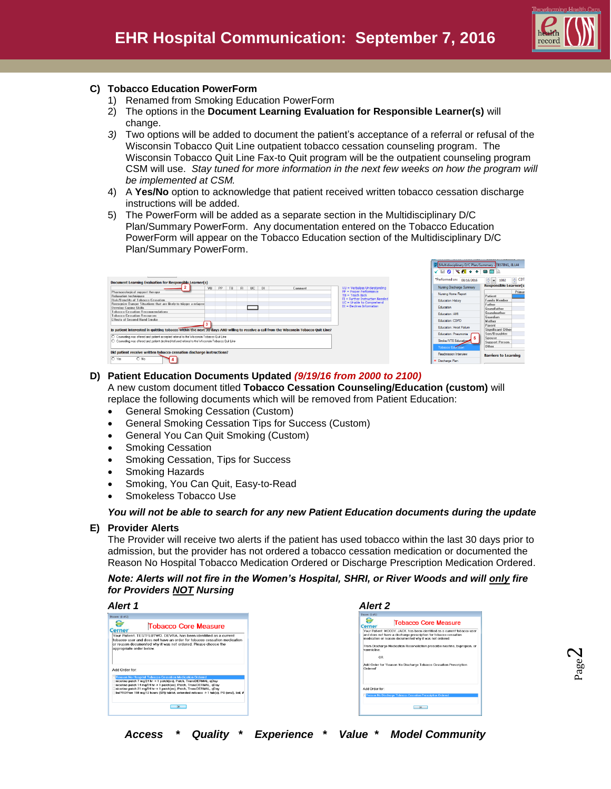

ED Multidisciplinary D/C Plan/Summary - TESTING # 144

## **C) Tobacco Education PowerForm**

- 1) Renamed from Smoking Education PowerForm
- 2) The options in the **Document Learning Evaluation for Responsible Learner(s)** will change.
- *3)* Two options will be added to document the patient's acceptance of a referral or refusal of the Wisconsin Tobacco Quit Line outpatient tobacco cessation counseling program. The Wisconsin Tobacco Quit Line Fax-to Quit program will be the outpatient counseling program CSM will use. Stay tuned for more information in the next few weeks on how the program will *be implemented at CSM.*
- 4) A **Yes/No** option to acknowledge that patient received written tobacco cessation discharge instructions will be added.
- 5) The PowerForm will be added as a separate section in the Multidisciplinary D/C Plan/Summary PowerForm. Any documentation entered on the Tobacco Education PowerForm will appear on the Tobacco Education section of the Multidisciplinary D/C Plan/Summary PowerForm.

|                                                                                                                                       |    |    |    |    |           |           |         |                                                              | <b>√ B Q   ∜ @ + +   @ ©</b>  ≥ |                                 |
|---------------------------------------------------------------------------------------------------------------------------------------|----|----|----|----|-----------|-----------|---------|--------------------------------------------------------------|---------------------------------|---------------------------------|
| <b>Document Learning Evaluation for Responsible Learner(s)</b>                                                                        |    |    |    |    |           |           |         |                                                              | *Performed on: 08/16/2016       | <b>CDT</b><br>$\div$ - 1002     |
|                                                                                                                                       | VU | PP | TB | F1 | <b>UC</b> | <b>DI</b> | Comment | VU = Verbalizes Understanding                                | Nursing Discharge Summary       | <b>Responsible Learner(s)</b>   |
| Pharmacological support therapy<br><b>Relaxation techniques</b>                                                                       |    |    |    |    |           |           |         | $PP = Proper Performance$<br>$TB = Teach Back$               | Nursing Home Report             | Primar<br>Patient               |
| <b>Risk/Benefits of Tobacco Cessation</b>                                                                                             |    |    |    |    |           |           |         | FI = Further Instruction Needed<br>UC = Unable to Comprehend | Education History               | Family Member                   |
| Recognize Danger Situations that are likely to trigger a relapse<br>Develop Coping Skills                                             |    |    |    |    |           |           |         | DI = Decines Information                                     | Education                       | Father<br>Grandfather           |
| <b>Tobacco Cessation Recommendations</b><br><b>Tobacco Cessation Resources</b>                                                        |    |    |    |    |           |           |         |                                                              | Education: AMI                  | Grandmother                     |
| Effects of Second Hand Smoke                                                                                                          |    |    |    |    |           |           |         |                                                              | Education: COPD                 | Guardian<br>Mother              |
| Is patient interested in quitting tobacco within the next 30 days AND willing to receive a call from the Wisconsin Tobacco Quit Line? |    |    |    |    |           |           |         |                                                              | Education: Heart Failure        | Parent<br>Significant Other     |
| $\bigcirc$ Counseling was offered and patient accepted referral to the Wisconsin Tobacco Quit Line                                    |    |    |    |    |           |           |         |                                                              | Education: Pneumonia            | Son/Daughter                    |
| O Counseling was offered and patient declined/refused referral to the Wisconsin Tobacco Quit Line                                     |    |    |    |    |           |           |         |                                                              | 5<br>Stroke/VTE Education       | Spouse<br><b>Support Person</b> |
|                                                                                                                                       |    |    |    |    |           |           |         |                                                              | <b>Tobacco Education</b>        | Other                           |
| Did patient receive written tobacco cessation discharge instructions?                                                                 |    |    |    |    |           |           |         |                                                              | Readmission Interview           | <b>Barriers to Learning</b>     |
| $O$ No<br>$O$ Yes                                                                                                                     |    |    |    |    |           |           |         |                                                              | * Discharge Plan                |                                 |

# **D) Patient Education Documents Updated** *(9/19/16 from 2000 to 2100)*

A new custom document titled **Tobacco Cessation Counseling/Education (custom)** will replace the following documents which will be removed from Patient Education:

- General Smoking Cessation (Custom)
- General Smoking Cessation Tips for Success (Custom)
- General You Can Quit Smoking (Custom)
- Smoking Cessation
- Smoking Cessation, Tips for Success
- Smoking Hazards
- Smoking, You Can Quit, Easy-to-Read
- Smokeless Tobacco Use

#### *You will not be able to search for any new Patient Education documents during the update*

#### **E) Provider Alerts**

The Provider will receive two alerts if the patient has used tobacco within the last 30 days prior to admission, but the provider has not ordered a tobacco cessation medication or documented the Reason No Hospital Tobacco Medication Ordered or Discharge Prescription Medication Ordered.

*Note: Alerts will not fire in the Women's Hospital, SHRI, or River Woods and will only fire for Providers NOT Nursing*

| <b>Cerner</b>            | <b>Tobacco Core Measure</b>                                                                                                                                                                                     |
|--------------------------|-----------------------------------------------------------------------------------------------------------------------------------------------------------------------------------------------------------------|
| appropriate order below. | Your Patient. TESTFLUTWO. DEVRA. has been identified as a current<br>tobacco user and does not have an order for tobacco cessation medication<br>or reason documented why it was not ordered. Please choose the |
| Add Order for:           | <b>Reason No Hospital Tobacco Cessation Medication Ordered</b>                                                                                                                                                  |
|                          | nicotine patch 7 mg/24 hr -> 1 patch(es), Patch, TransDERMAL, qDay<br>nicotine patch 14 mg/24 hr -> 1 patch(es), Patch, TransDERMAL, gDay                                                                       |
|                          | nicotine patch 21 mg/24 hr -> 1 patch(es), Patch, TransDERMAL, gDay<br>buPROPion 150 mg/12 hours (SR) tablet, extended release -> 1 tabls). PO (oral), bid. #                                                   |
|                          | nk.                                                                                                                                                                                                             |

| Alert 1                                                                                                                                                                                                                                                                                                                                                                      | <b>Alert 2</b>                                                                                                                                                                                                                                                                                                                                                   |
|------------------------------------------------------------------------------------------------------------------------------------------------------------------------------------------------------------------------------------------------------------------------------------------------------------------------------------------------------------------------------|------------------------------------------------------------------------------------------------------------------------------------------------------------------------------------------------------------------------------------------------------------------------------------------------------------------------------------------------------------------|
| Discent: (1 of 2)                                                                                                                                                                                                                                                                                                                                                            | Discent: (LeF1)                                                                                                                                                                                                                                                                                                                                                  |
| ၘ<br><b>Tobacco Core Measure</b><br><b>Cerner</b><br>Your Patient. TESTFLUTWO. DEVRA. has been identified as a current<br>tobacco user and does not have an order for tobacco cessation medication<br>or reason documented why it was not ordered. Please choose the<br>appropriate order below.                                                                             | e<br><b>Tobacco Core Measure</b><br><b>Cerner</b><br>Your Patient, MCCOY, JACK, has been identified as a current tobacco user<br>and does not have a discharge prescription for tobacco cessation<br>medication or reason documented why it was not ordered.<br>From Discharge Medication Reconciliation prescribe nicotine, bupropion, or<br>varenicline.<br>OR |
| Add Order for:                                                                                                                                                                                                                                                                                                                                                               | Add Order for 'Reason No Discharge Tobacco Cessation Prescription<br>Ordered"                                                                                                                                                                                                                                                                                    |
| <b>Reason No Hospital Tobacco Cessation Medication Ordered</b><br>nicotine patch 7 mg/24 hr -> 1 patch(es), Patch, TransDERMAL, qDay<br>nicotine patch 14 mg/24 hr -> 1 patch(es), Patch, TransDERMAL, gDay<br>nicotine patch 21 mg/24 hr -> 1 patch(es), Patch, TransDERMAL, qDay<br>buPROPion 150 mg/12 hours (SR) tablet, extended release -> 1 tab(s), PO (oral), bid, # | Add Order for:<br>Reason No Discharge Tobacco Cessation Prescription Ordered                                                                                                                                                                                                                                                                                     |
| $-0K$                                                                                                                                                                                                                                                                                                                                                                        | $-0K$                                                                                                                                                                                                                                                                                                                                                            |

*Access \* Quality \* Experience \* Value \* Model Community*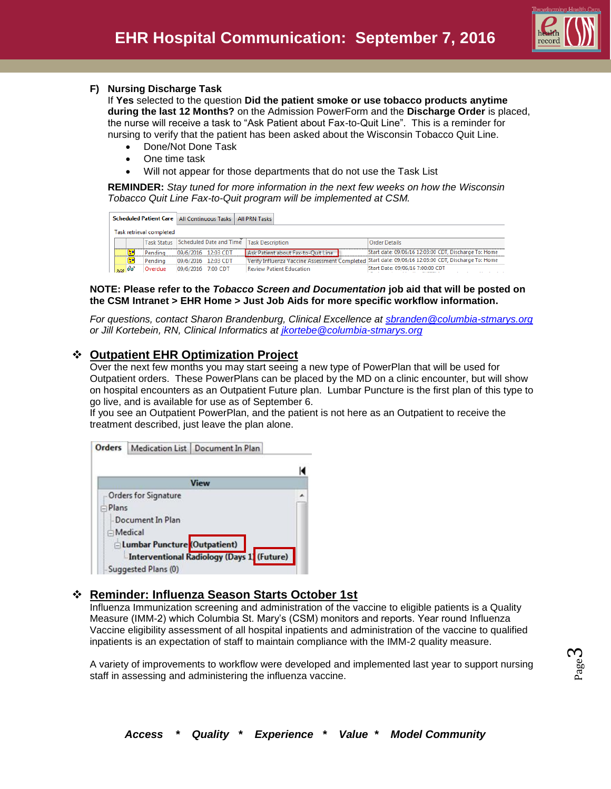

### **F) Nursing Discharge Task**

If **Yes** selected to the question **Did the patient smoke or use tobacco products anytime during the last 12 Months?** on the Admission PowerForm and the **Discharge Order** is placed, the nurse will receive a task to "Ask Patient about Fax-to-Quit Line". This is a reminder for nursing to verify that the patient has been asked about the Wisconsin Tobacco Quit Line.

- Done/Not Done Task
- One time task
- Will not appear for those departments that do not use the Task List

**REMINDER:** *Stay tuned for more information in the next few weeks on how the Wisconsin Tobacco Quit Line Fax-to-Quit program will be implemented at CSM.*

|     |   |                          | Scheduled Patient Care   All Continuous Tasks   All PRN Tasks |                                    |                                                                                                     |
|-----|---|--------------------------|---------------------------------------------------------------|------------------------------------|-----------------------------------------------------------------------------------------------------|
|     |   | Task retrieval completed |                                                               |                                    |                                                                                                     |
|     |   | <b>Task Status</b>       | Scheduled Date and Time Task Description                      |                                    | <b>Order Details</b>                                                                                |
|     |   | Pendina                  | 09/6/2016 12:03 CDT                                           | Ask Patient about Fax-to-Ouit Line | Start date: 09/06/16 12:03:00 CDT, Discharge To: Home                                               |
|     | × | Pending                  | 09/6/2016 12:03 CDT                                           |                                    | Verify Influenza Vaccine Assessment Completed Start date: 09/06/16 12:03:00 CDT, Discharge To: Home |
| 308 |   | Overdue                  | 09/6/2016 7:00 CDT                                            | <b>Review Patient Education</b>    | Start Date: 09/06/16 7:00:00 CDT                                                                    |

#### **NOTE: Please refer to the** *Tobacco Screen and Documentation* **job aid that will be posted on the CSM Intranet > EHR Home > Just Job Aids for more specific workflow information.**

*For questions, contact Sharon Brandenburg, Clinical Excellence at [sbranden@columbia-stmarys.org](mailto:sbranden@columbia-stmarys.org) or Jill Kortebein, RN, Clinical Informatics at [jkortebe@columbia-stmarys.org](mailto:jkortebe@columbia-stmarys.org)*

# **Outpatient EHR Optimization Project**

Over the next few months you may start seeing a new type of PowerPlan that will be used for Outpatient orders. These PowerPlans can be placed by the MD on a clinic encounter, but will show on hospital encounters as an Outpatient Future plan. Lumbar Puncture is the first plan of this type to go live, and is available for use as of September 6.

If you see an Outpatient PowerPlan, and the patient is not here as an Outpatient to receive the treatment described, just leave the plan alone.



# **Reminder: Influenza Season Starts October 1st**

Influenza Immunization screening and administration of the vaccine to eligible patients is a Quality Measure (IMM-2) which Columbia St. Mary's (CSM) monitors and reports. Year round Influenza Vaccine eligibility assessment of all hospital inpatients and administration of the vaccine to qualified inpatients is an expectation of staff to maintain compliance with the IMM-2 quality measure.

A variety of improvements to workflow were developed and implemented last year to support nursing staff in assessing and administering the influenza vaccine.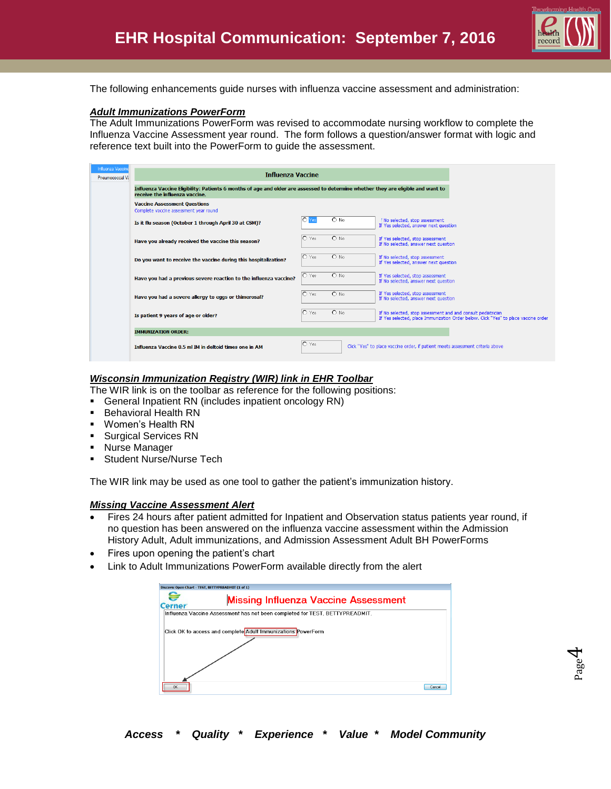

The following enhancements guide nurses with influenza vaccine assessment and administration:

#### *Adult Immunizations PowerForm*

The Adult Immunizations PowerForm was revised to accommodate nursing workflow to complete the Influenza Vaccine Assessment year round. The form follows a question/answer format with logic and reference text built into the PowerForm to guide the assessment.

| <b>Influenza Vaccine</b> |                                                                                                                                                                     |               |                   |                                                                                                                                                     |  |  |  |  |  |
|--------------------------|---------------------------------------------------------------------------------------------------------------------------------------------------------------------|---------------|-------------------|-----------------------------------------------------------------------------------------------------------------------------------------------------|--|--|--|--|--|
| Pneumococcal Va          | <b>Influenza Vaccine</b>                                                                                                                                            |               |                   |                                                                                                                                                     |  |  |  |  |  |
|                          | Influenza Vaccine Eligibility: Patients 6 months of age and older are assessed to determine whether they are eligible and want to<br>receive the influenza vaccine. |               |                   |                                                                                                                                                     |  |  |  |  |  |
|                          | <b>Vaccine Assessment Questions</b><br>Complete vaccine assessment year round                                                                                       |               |                   |                                                                                                                                                     |  |  |  |  |  |
|                          | Is it flu season (October 1 through April 30 at CSM)?                                                                                                               | 10            | $\overline{O}$ No | FNo selected, stop assessment<br>If Yes selected, answer next question                                                                              |  |  |  |  |  |
|                          | Have you already received the vaccine this season?                                                                                                                  | $\circ$ Yes   | $O$ No            | If Yes selected, stop assessment<br>If No selected, answer next question                                                                            |  |  |  |  |  |
|                          | Do you want to receive the vaccine during this hospitalization?                                                                                                     | $\circ$ Yes   | $O$ No            | If No selected, stop assessment<br>If Yes selected, answer next question                                                                            |  |  |  |  |  |
|                          | Have you had a previous severe reaction to the influenza vaccine?                                                                                                   | $\bigcap$ Yes | $O$ No            | If Yes selected, stop assessment<br>If No selected, answer next question                                                                            |  |  |  |  |  |
|                          | Have you had a severe allergy to eggs or thimerosal?                                                                                                                | $\bigcap$ Yes | $O$ No            | If Yes selected, stop assessment<br>If No selected, answer next question                                                                            |  |  |  |  |  |
|                          | Is patient 9 years of age or older?                                                                                                                                 | $\bigcap$ Yes | $O$ No            | If No selected, stop assessment and and consult pediatrician<br>If Yes selected, place Immunization Order below. Click "Yes" to place vaccine order |  |  |  |  |  |
|                          | <b>IMMUNIZATION ORDER:</b>                                                                                                                                          |               |                   |                                                                                                                                                     |  |  |  |  |  |
|                          | Influenza Vaccine 0.5 ml IM in deltoid times one in AM                                                                                                              | $\circ$ Yes   |                   | Click "Yes" to place vaccine order, if patient meets assessment criteria above                                                                      |  |  |  |  |  |

#### *Wisconsin Immunization Registry (WIR) link in EHR Toolbar*

The WIR link is on the toolbar as reference for the following positions:

- General Inpatient RN (includes inpatient oncology RN)
- Behavioral Health RN
- Women's Health RN
- **Surgical Services RN**
- **Nurse Manager**
- **Student Nurse/Nurse Tech**

The WIR link may be used as one tool to gather the patient's immunization history.

#### *Missing Vaccine Assessment Alert*

- Fires 24 hours after patient admitted for Inpatient and Observation status patients year round, if no question has been answered on the influenza vaccine assessment within the Admission History Adult, Adult immunizations, and Admission Assessment Adult BH PowerForms
- Fires upon opening the patient's chart
- Link to Adult Immunizations PowerForm available directly from the alert